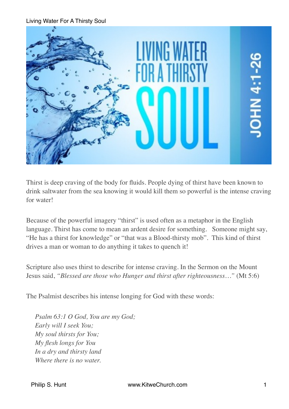

Thirst is deep craving of the body for fluids. People dying of thirst have been known to drink saltwater from the sea knowing it would kill them so powerful is the intense craving for water!

Because of the powerful imagery "thirst" is used often as a metaphor in the English language. Thirst has come to mean an ardent desire for something. Someone might say, "He has a thirst for knowledge" or "that was a Blood-thirsty mob". This kind of thirst drives a man or woman to do anything it takes to quench it!

Scripture also uses thirst to describe for intense craving. In the Sermon on the Mount Jesus said, *"Blessed are those who Hunger and thirst after righteousness…"* (Mt 5:6)

The Psalmist describes his intense longing for God with these words:

*Psalm 63:1 O God, You are my God; Early will I seek You; My soul thirsts for You; My flesh longs for You In a dry and thirsty land Where there is no water.*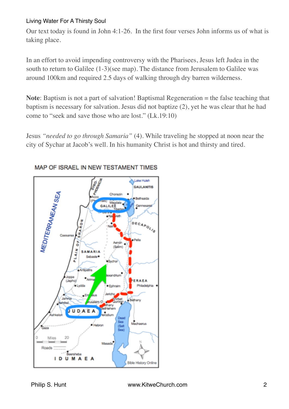Our text today is found in John 4:1-26. In the first four verses John informs us of what is taking place.

In an effort to avoid impending controversy with the Pharisees, Jesus left Judea in the south to return to Galilee (1-3)(see map). The distance from Jerusalem to Galilee was around 100km and required 2.5 days of walking through dry barren wilderness.

**Note:** Baptism is not a part of salvation! Baptismal Regeneration = the false teaching that baptism is necessary for salvation. Jesus did not baptize (2), yet he was clear that he had come to "seek and save those who are lost." (Lk.19:10)

Jesus *"needed to go through Samaria"* (4). While traveling he stopped at noon near the city of Sychar at Jacob's well. In his humanity Christ is hot and thirsty and tired.



### MAP OF ISRAEL IN NEW TESTAMENT TIMES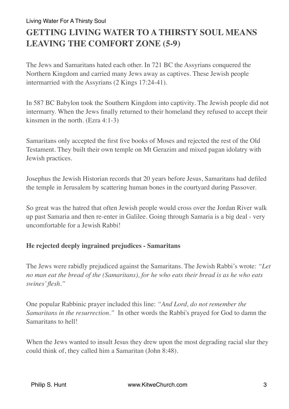# **GETTING LIVING WATER TO A THIRSTY SOUL MEANS LEAVING THE COMFORT ZONE (5-9)**

The Jews and Samaritans hated each other. In 721 BC the Assyrians conquered the Northern Kingdom and carried many Jews away as captives. These Jewish people intermarried with the Assyrians (2 Kings 17:24-41).

In 587 BC Babylon took the Southern Kingdom into captivity. The Jewish people did not intermarry. When the Jews finally returned to their homeland they refused to accept their kinsmen in the north. (Ezra 4:1-3)

Samaritans only accepted the first five books of Moses and rejected the rest of the Old Testament. They built their own temple on Mt Gerazim and mixed pagan idolatry with Jewish practices.

Josephus the Jewish Historian records that 20 years before Jesus, Samaritans had defiled the temple in Jerusalem by scattering human bones in the courtyard during Passover.

So great was the hatred that often Jewish people would cross over the Jordan River walk up past Samaria and then re-enter in Galilee. Going through Samaria is a big deal - very uncomfortable for a Jewish Rabbi!

# **He rejected deeply ingrained prejudices - Samaritans**

The Jews were rabidly prejudiced against the Samaritans. The Jewish Rabbi's wrote: *"Let no man eat the bread of the (Samaritans), for he who eats their bread is as he who eats swines' flesh."*

One popular Rabbinic prayer included this line: *"And Lord, do not remember the Samaritans in the resurrection."* In other words the Rabbi's prayed for God to damn the Samaritans to hell!

When the Jews wanted to insult Jesus they drew upon the most degrading racial slur they could think of, they called him a Samaritan (John 8:48).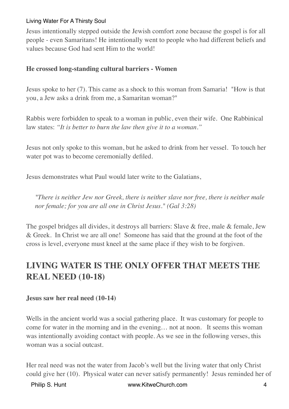Jesus intentionally stepped outside the Jewish comfort zone because the gospel is for all people - even Samaritans! He intentionally went to people who had different beliefs and values because God had sent Him to the world!

### **He crossed long-standing cultural barriers - Women**

Jesus spoke to her (7). This came as a shock to this woman from Samaria! "How is that you, a Jew asks a drink from me, a Samaritan woman?"

Rabbis were forbidden to speak to a woman in public, even their wife. One Rabbinical law states: *"It is better to burn the law then give it to a woman."*

Jesus not only spoke to this woman, but he asked to drink from her vessel. To touch her water pot was to become ceremonially defiled.

Jesus demonstrates what Paul would later write to the Galatians,

*"There is neither Jew nor Greek, there is neither slave nor free, there is neither male nor female; for you are all one in Christ Jesus." (Gal 3:28)*

The gospel bridges all divides, it destroys all barriers: Slave & free, male & female, Jew & Greek. In Christ we are all one! Someone has said that the ground at the foot of the cross is level, everyone must kneel at the same place if they wish to be forgiven.

# **LIVING WATER IS THE ONLY OFFER THAT MEETS THE REAL NEED (10-18)**

#### **Jesus saw her real need (10-14)**

Wells in the ancient world was a social gathering place. It was customary for people to come for water in the morning and in the evening… not at noon. It seems this woman was intentionally avoiding contact with people. As we see in the following verses, this woman was a social outcast.

Her real need was not the water from Jacob's well but the living water that only Christ could give her (10). Physical water can never satisfy permanently! Jesus reminded her of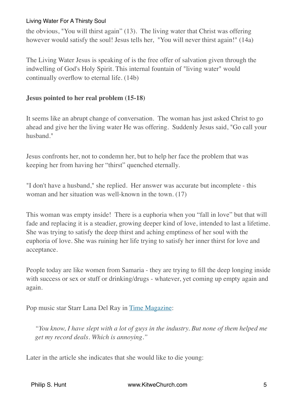the obvious, "You will thirst again" (13). The living water that Christ was offering however would satisfy the soul! Jesus tells her, "You will never thirst again!" (14a)

The Living Water Jesus is speaking of is the free offer of salvation given through the indwelling of God's Holy Spirit. This internal fountain of "living water" would continually overflow to eternal life. (14b)

### **Jesus pointed to her real problem (15-18)**

It seems like an abrupt change of conversation. The woman has just asked Christ to go ahead and give her the living water He was offering. Suddenly Jesus said, "Go call your husband."

Jesus confronts her, not to condemn her, but to help her face the problem that was keeping her from having her "thirst" quenched eternally.

"I don't have a husband," she replied. Her answer was accurate but incomplete - this woman and her situation was well-known in the town. (17)

This woman was empty inside! There is a euphoria when you "fall in love" but that will fade and replacing it is a steadier, growing deeper kind of love, intended to last a lifetime. She was trying to satisfy the deep thirst and aching emptiness of her soul with the euphoria of love. She was ruining her life trying to satisfy her inner thirst for love and acceptance.

People today are like women from Samaria - they are trying to fill the deep longing inside with success or sex or stuff or drinking/drugs - whatever, yet coming up empty again and again.

Pop music star Starr Lana Del Ray in [Time Magazine:](http://time.com/3028634/lana-del-ray-quotes-feminism-sex/)

*"You know, I have slept with a lot of guys in the industry. But none of them helped me get my record deals. Which is annoying."*

Later in the article she indicates that she would like to die young: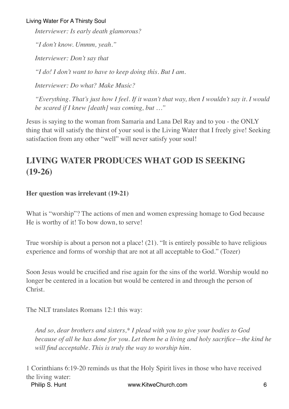*Interviewer: Is early death glamorous? "I don't know. Ummm, yeah." Interviewer: Don't say that "I do! I don't want to have to keep doing this. But I am. Interviewer: Do what? Make Music? "Everything. That's just how I feel. If it wasn't that way, then I wouldn't say it. I would* 

*be scared if I knew [death] was coming, but …"*

Jesus is saying to the woman from Samaria and Lana Del Ray and to you - the ONLY thing that will satisfy the thirst of your soul is the Living Water that I freely give! Seeking satisfaction from any other "well" will never satisfy your soul!

# **LIVING WATER PRODUCES WHAT GOD IS SEEKING (19-26)**

# **Her question was irrelevant (19-21)**

What is "worship"? The actions of men and women expressing homage to God because He is worthy of it! To bow down, to serve!

True worship is about a person not a place! (21). "It is entirely possible to have religious experience and forms of worship that are not at all acceptable to God." (Tozer)

Soon Jesus would be crucified and rise again for the sins of the world. Worship would no longer be centered in a location but would be centered in and through the person of Christ.

The NLT translates Romans 12:1 this way:

*And so, dear brothers and sisters,\* I plead with you to give your bodies to God because of all he has done for you. Let them be a living and holy sacrifice—the kind he will find acceptable. This is truly the way to worship him.*

1 Corinthians 6:19-20 reminds us that the Holy Spirit lives in those who have received the living water: Philip S. Hunt **6** 6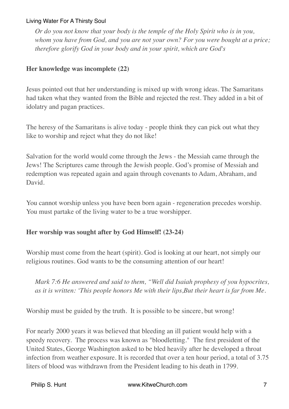*Or do you not know that your body is the temple of the Holy Spirit who is in you, whom you have from God, and you are not your own? For you were bought at a price; therefore glorify God in your body and in your spirit, which are God's*

# **Her knowledge was incomplete (22)**

Jesus pointed out that her understanding is mixed up with wrong ideas. The Samaritans had taken what they wanted from the Bible and rejected the rest. They added in a bit of idolatry and pagan practices.

The heresy of the Samaritans is alive today - people think they can pick out what they like to worship and reject what they do not like!

Salvation for the world would come through the Jews - the Messiah came through the Jews! The Scriptures came through the Jewish people. God's promise of Messiah and redemption was repeated again and again through covenants to Adam, Abraham, and David.

You cannot worship unless you have been born again - regeneration precedes worship. You must partake of the living water to be a true worshipper.

# **Her worship was sought after by God Himself! (23-24)**

Worship must come from the heart (spirit). God is looking at our heart, not simply our religious routines. God wants to be the consuming attention of our heart!

*Mark 7:6 He answered and said to them, "Well did Isaiah prophesy of you hypocrites, as it is written: 'This people honors Me with their lips,But their heart is far from Me.*

Worship must be guided by the truth. It is possible to be sincere, but wrong!

For nearly 2000 years it was believed that bleeding an ill patient would help with a speedy recovery. The process was known as "bloodletting." The first president of the United States, George Washington asked to be bled heavily after he developed a throat infection from weather exposure. It is recorded that over a ten hour period, a total of 3.75 liters of blood was withdrawn from the President leading to his death in 1799.